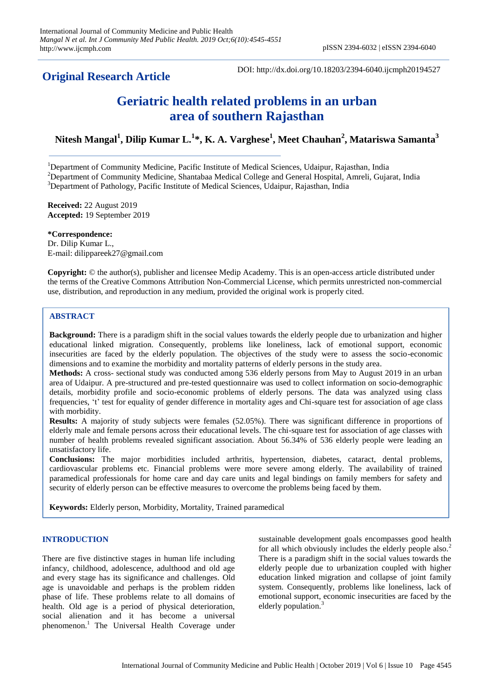# **Original Research Article**

DOI: http://dx.doi.org/10.18203/2394-6040.ijcmph20194527

# **Geriatric health related problems in an urban area of southern Rajasthan**

**Nitesh Mangal<sup>1</sup> , Dilip Kumar L.<sup>1</sup> \*, K. A. Varghese<sup>1</sup> , Meet Chauhan<sup>2</sup> , Matariswa Samanta<sup>3</sup>**

<sup>1</sup>Department of Community Medicine, Pacific Institute of Medical Sciences, Udaipur, Rajasthan, India <sup>2</sup>Department of Community Medicine, Shantabaa Medical College and General Hospital, Amreli, Gujarat, India <sup>3</sup>Department of Pathology, Pacific Institute of Medical Sciences, Udaipur, Rajasthan, India

**Received:** 22 August 2019 **Accepted:** 19 September 2019

**\*Correspondence:** Dr. Dilip Kumar L., E-mail: dilippareek27@gmail.com

**Copyright:** © the author(s), publisher and licensee Medip Academy. This is an open-access article distributed under the terms of the Creative Commons Attribution Non-Commercial License, which permits unrestricted non-commercial use, distribution, and reproduction in any medium, provided the original work is properly cited.

## **ABSTRACT**

**Background:** There is a paradigm shift in the social values towards the elderly people due to urbanization and higher educational linked migration. Consequently, problems like loneliness, lack of emotional support, economic insecurities are faced by the elderly population. The objectives of the study were to assess the socio-economic dimensions and to examine the morbidity and mortality patterns of elderly persons in the study area.

**Methods:** A cross- sectional study was conducted among 536 elderly persons from May to August 2019 in an urban area of Udaipur. A pre-structured and pre-tested questionnaire was used to collect information on socio-demographic details, morbidity profile and socio-economic problems of elderly persons. The data was analyzed using class frequencies, 't' test for equality of gender difference in mortality ages and Chi-square test for association of age class with morbidity.

**Results:** A majority of study subjects were females (52.05%). There was significant difference in proportions of elderly male and female persons across their educational levels. The chi-square test for association of age classes with number of health problems revealed significant association. About 56.34% of 536 elderly people were leading an unsatisfactory life.

**Conclusions:** The major morbidities included arthritis, hypertension, diabetes, cataract, dental problems, cardiovascular problems etc. Financial problems were more severe among elderly. The availability of trained paramedical professionals for home care and day care units and legal bindings on family members for safety and security of elderly person can be effective measures to overcome the problems being faced by them.

**Keywords:** Elderly person, Morbidity, Mortality, Trained paramedical

### **INTRODUCTION**

There are five distinctive stages in human life including infancy, childhood, adolescence, adulthood and old age and every stage has its significance and challenges. Old age is unavoidable and perhaps is the problem ridden phase of life. These problems relate to all domains of health. Old age is a period of physical deterioration, social alienation and it has become a universal phenomenon.<sup>1</sup> The Universal Health Coverage under sustainable development goals encompasses good health for all which obviously includes the elderly people also.<sup>2</sup> There is a paradigm shift in the social values towards the elderly people due to urbanization coupled with higher education linked migration and collapse of joint family system. Consequently, problems like loneliness, lack of emotional support, economic insecurities are faced by the elderly population.<sup>3</sup>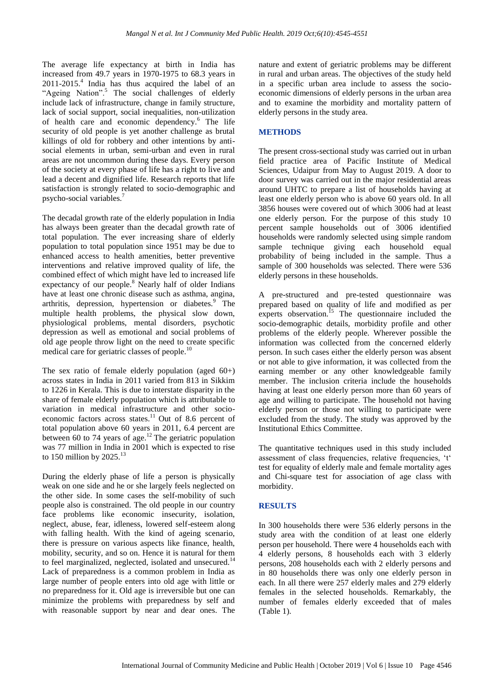The average life expectancy at birth in India has increased from 49.7 years in 1970-1975 to 68.3 years in 2011-2015.<sup>4</sup> India has thus acquired the label of an "Ageing Nation".<sup>5</sup> The social challenges of elderly include lack of infrastructure, change in family structure, lack of social support, social inequalities, non-utilization of health care and economic dependency.<sup>6</sup> The life security of old people is yet another challenge as brutal killings of old for robbery and other intentions by antisocial elements in urban, semi-urban and even in rural areas are not uncommon during these days. Every person of the society at every phase of life has a right to live and lead a decent and dignified life. Research reports that life satisfaction is strongly related to socio-demographic and psycho-social variables.<sup>7</sup>

The decadal growth rate of the elderly population in India has always been greater than the decadal growth rate of total population. The ever increasing share of elderly population to total population since 1951 may be due to enhanced access to health amenities, better preventive interventions and relative improved quality of life, the combined effect of which might have led to increased life expectancy of our people.<sup>8</sup> Nearly half of older Indians have at least one chronic disease such as asthma, angina, arthritis, depression, hypertension or diabetes.<sup>9</sup> The multiple health problems, the physical slow down, physiological problems, mental disorders, psychotic depression as well as emotional and social problems of old age people throw light on the need to create specific medical care for geriatric classes of people.<sup>10</sup>

The sex ratio of female elderly population (aged  $60+$ ) across states in India in 2011 varied from 813 in Sikkim to 1226 in Kerala. This is due to interstate disparity in the share of female elderly population which is attributable to variation in medical infrastructure and other socioeconomic factors across states.<sup>11</sup> Out of 8.6 percent of total population above 60 years in 2011, 6.4 percent are between 60 to 74 years of age.<sup>12</sup> The geriatric population was 77 million in India in 2001 which is expected to rise to 150 million by 2025.<sup>13</sup>

During the elderly phase of life a person is physically weak on one side and he or she largely feels neglected on the other side. In some cases the self-mobility of such people also is constrained. The old people in our country face problems like economic insecurity, isolation, neglect, abuse, fear, idleness, lowered self-esteem along with falling health. With the kind of ageing scenario, there is pressure on various aspects like finance, health, mobility, security, and so on. Hence it is natural for them to feel marginalized, neglected, isolated and unsecured.<sup>14</sup> Lack of preparedness is a common problem in India as large number of people enters into old age with little or no preparedness for it. Old age is irreversible but one can minimize the problems with preparedness by self and with reasonable support by near and dear ones. The nature and extent of geriatric problems may be different in rural and urban areas. The objectives of the study held in a specific urban area include to assess the socioeconomic dimensions of elderly persons in the urban area and to examine the morbidity and mortality pattern of elderly persons in the study area.

# **METHODS**

The present cross-sectional study was carried out in urban field practice area of Pacific Institute of Medical Sciences, Udaipur from May to August 2019. A door to door survey was carried out in the major residential areas around UHTC to prepare a list of households having at least one elderly person who is above 60 years old. In all 3856 houses were covered out of which 3006 had at least one elderly person. For the purpose of this study 10 percent sample households out of 3006 identified households were randomly selected using simple random sample technique giving each household equal probability of being included in the sample. Thus a sample of 300 households was selected. There were 536 elderly persons in these households.

A pre-structured and pre-tested questionnaire was prepared based on quality of life and modified as per experts observation.<sup>15</sup> The questionnaire included the socio-demographic details, morbidity profile and other problems of the elderly people. Wherever possible the information was collected from the concerned elderly person. In such cases either the elderly person was absent or not able to give information, it was collected from the earning member or any other knowledgeable family member. The inclusion criteria include the households having at least one elderly person more than 60 years of age and willing to participate. The household not having elderly person or those not willing to participate were excluded from the study. The study was approved by the Institutional Ethics Committee.

The quantitative techniques used in this study included assessment of class frequencies, relative frequencies, 't' test for equality of elderly male and female mortality ages and Chi-square test for association of age class with morbidity.

### **RESULTS**

In 300 households there were 536 elderly persons in the study area with the condition of at least one elderly person per household. There were 4 households each with 4 elderly persons, 8 households each with 3 elderly persons, 208 households each with 2 elderly persons and in 80 households there was only one elderly person in each. In all there were 257 elderly males and 279 elderly females in the selected households. Remarkably, the number of females elderly exceeded that of males (Table 1).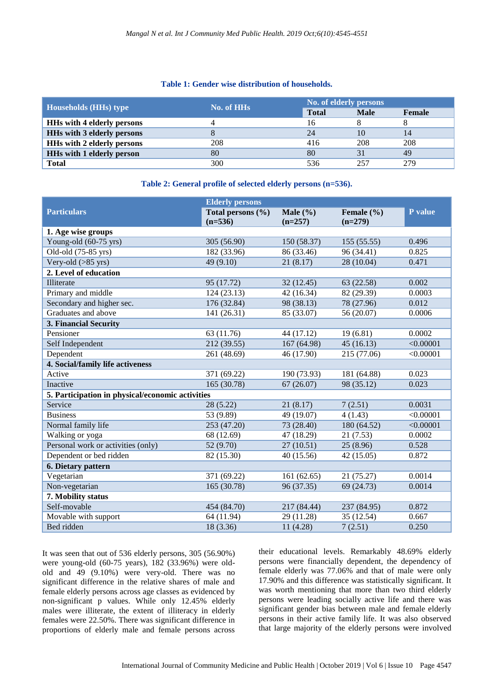### **Table 1: Gender wise distribution of households.**

| Households (HHs) type             | No. of HHs | No. of elderly persons |             |        |
|-----------------------------------|------------|------------------------|-------------|--------|
|                                   |            | <b>Total</b>           | <b>Male</b> | Female |
| <b>HHs with 4 elderly persons</b> |            | 16                     |             |        |
| <b>HHs with 3 elderly persons</b> |            | 24                     | 10          | 14     |
| <b>HHs with 2 elderly persons</b> | 208        | 416                    | 208         | 208    |
| <b>HHs with 1 elderly person</b>  | 80         | 80                     | 31          | 49     |
| <b>Total</b>                      | 300        | 536                    | 257         | 279    |

#### **Table 2: General profile of selected elderly persons (n=536).**

|                                                  | <b>Elderly persons</b>             |                           |                             |           |  |
|--------------------------------------------------|------------------------------------|---------------------------|-----------------------------|-----------|--|
| <b>Particulars</b>                               | Total persons $(\% )$<br>$(n=536)$ | Male $(\% )$<br>$(n=257)$ | Female $(\% )$<br>$(n=279)$ | P value   |  |
| 1. Age wise groups                               |                                    |                           |                             |           |  |
| Young-old (60-75 yrs)                            | 305 (56.90)                        | 150 (58.37)               | 155(55.55)                  | 0.496     |  |
| Old-old (75-85 yrs)                              | 182 (33.96)                        | 86 (33.46)                | 96 (34.41)                  | 0.825     |  |
| Very-old $(>85$ yrs)                             | 49 (9.10)                          | 21(8.17)                  | 28 (10.04)                  | 0.471     |  |
| 2. Level of education                            |                                    |                           |                             |           |  |
| Illiterate                                       | 95(17.72)                          | 32(12.45)                 | 63 (22.58)                  | 0.002     |  |
| Primary and middle                               | 124(23.13)                         | 42 (16.34)                | 82 (29.39)                  | 0.0003    |  |
| Secondary and higher sec.                        | 176 (32.84)                        | 98 (38.13)                | 78 (27.96)                  | 0.012     |  |
| Graduates and above                              | 141 (26.31)                        | 85 (33.07)                | 56 (20.07)                  | 0.0006    |  |
| 3. Financial Security                            |                                    |                           |                             |           |  |
| Pensioner                                        | 63 (11.76)                         | 44 (17.12)                | 19(6.81)                    | 0.0002    |  |
| Self Independent                                 | 212 (39.55)                        | 167 (64.98)               | 45(16.13)                   | < 0.00001 |  |
| Dependent                                        | 261 (48.69)                        | 46 (17.90)                | 215 (77.06)                 | < 0.00001 |  |
| 4. Social/family life activeness                 |                                    |                           |                             |           |  |
| Active                                           | 371 (69.22)                        | 190 (73.93)               | 181 (64.88)                 | 0.023     |  |
| Inactive                                         | 165 (30.78)                        | 67(26.07)                 | 98 (35.12)                  | 0.023     |  |
| 5. Participation in physical/economic activities |                                    |                           |                             |           |  |
| Service                                          | 28(5.22)                           | 21(8.17)                  | 7(2.51)                     | 0.0031    |  |
| <b>Business</b>                                  | 53 (9.89)                          | 49 (19.07)                | 4(1.43)                     | < 0.00001 |  |
| Normal family life                               | 253 (47.20)                        | 73 (28.40)                | 180 (64.52)                 | < 0.00001 |  |
| Walking or yoga                                  | 68 (12.69)                         | 47(18.29)                 | 21(7.53)                    | 0.0002    |  |
| Personal work or activities (only)               | 52 (9.70)                          | 27(10.51)                 | 25(8.96)                    | 0.528     |  |
| Dependent or bed ridden                          | 82 (15.30)                         | 40 (15.56)                | 42 (15.05)                  | 0.872     |  |
| <b>6. Dietary pattern</b>                        |                                    |                           |                             |           |  |
| Vegetarian                                       | 371 (69.22)                        | 161 (62.65)               | 21 (75.27)                  | 0.0014    |  |
| Non-vegetarian                                   | 165 (30.78)                        | 96 (37.35)                | 69 (24.73)                  | 0.0014    |  |
| 7. Mobility status                               |                                    |                           |                             |           |  |
| Self-movable                                     | 454 (84.70)                        | 217 (84.44)               | 237 (84.95)                 | 0.872     |  |
| Movable with support                             | 64 (11.94)                         | 29 (11.28)                | 35 (12.54)                  | 0.667     |  |
| <b>Bed</b> ridden                                | 18 (3.36)                          | 11 (4.28)                 | 7(2.51)                     | 0.250     |  |

It was seen that out of 536 elderly persons, 305 (56.90%) were young-old (60-75 years), 182 (33.96%) were oldold and 49 (9.10%) were very-old. There was no significant difference in the relative shares of male and female elderly persons across age classes as evidenced by non-significant p values. While only 12.45% elderly males were illiterate, the extent of illiteracy in elderly females were 22.50%. There was significant difference in proportions of elderly male and female persons across

their educational levels. Remarkably 48.69% elderly persons were financially dependent, the dependency of female elderly was 77.06% and that of male were only 17.90% and this difference was statistically significant. It was worth mentioning that more than two third elderly persons were leading socially active life and there was significant gender bias between male and female elderly persons in their active family life. It was also observed that large majority of the elderly persons were involved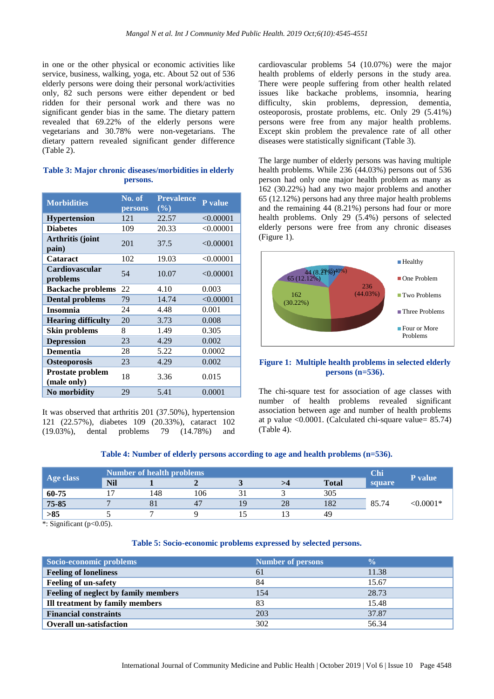in one or the other physical or economic activities like service, business, walking, yoga, etc. About 52 out of 536 elderly persons were doing their personal work/activities only, 82 such persons were either dependent or bed ridden for their personal work and there was no significant gender bias in the same. The dietary pattern revealed that 69.22% of the elderly persons were vegetarians and 30.78% were non-vegetarians. The dietary pattern revealed significant gender difference (Table 2).

### **Table 3: Major chronic diseases/morbidities in elderly persons.**

| <b>Morbidities</b>                | No. of<br>persons | <b>Prevalence</b><br>$(\%)$ | P value   |
|-----------------------------------|-------------------|-----------------------------|-----------|
| <b>Hypertension</b>               | 121               | 22.57                       | < 0.00001 |
| <b>Diabetes</b>                   | 109               | 20.33                       | < 0.00001 |
| Arthritis (joint<br>pain)         | 201               | 37.5                        | < 0.00001 |
| Cataract                          | 102               | 19.03                       | < 0.00001 |
| <b>Cardiovascular</b><br>problems | 54                | 10.07                       | < 0.00001 |
| <b>Backache problems</b>          | 22                | 4.10                        | 0.003     |
| <b>Dental problems</b>            | 79                | 14.74                       | < 0.00001 |
| <b>Insomnia</b>                   | 24                | 4.48                        | 0.001     |
| <b>Hearing difficulty</b>         | 20                | 3.73                        | 0.008     |
| <b>Skin problems</b>              | 8                 | 1.49                        | 0.305     |
| <b>Depression</b>                 | 23                | 4.29                        | 0.002     |
| Dementia                          | 28                | 5.22                        | 0.0002    |
| Osteoporosis                      | 23                | 4.29                        | 0.002     |
| Prostate problem<br>(male only)   | 18                | 3.36                        | 0.015     |
| No morbidity                      | 29                | 5.41                        | 0.0001    |

It was observed that arthritis 201 (37.50%), hypertension 121 (22.57%), diabetes 109 (20.33%), cataract 102 (19.03%), dental problems 79 (14.78%) and

cardiovascular problems 54 (10.07%) were the major health problems of elderly persons in the study area. There were people suffering from other health related issues like backache problems, insomnia, hearing difficulty, skin problems, depression, dementia, osteoporosis, prostate problems, etc. Only 29 (5.41%) persons were free from any major health problems. Except skin problem the prevalence rate of all other diseases were statistically significant (Table 3).

The large number of elderly persons was having multiple health problems. While 236 (44.03%) persons out of 536 person had only one major health problem as many as 162 (30.22%) had any two major problems and another 65 (12.12%) persons had any three major health problems and the remaining 44 (8.21%) persons had four or more health problems. Only 29 (5.4%) persons of selected elderly persons were free from any chronic diseases (Figure 1).



### **Figure 1: Multiple health problems in selected elderly persons (n=536).**

The chi-square test for association of age classes with number of health problems revealed significant association between age and number of health problems at p value <0.0001. (Calculated chi-square value= 85.74) (Table 4).

### **Table 4: Number of elderly persons according to age and health problems (n=536).**

| <b>Number of health problems</b> |               |     |     |    | Chi | P value      |        |             |
|----------------------------------|---------------|-----|-----|----|-----|--------------|--------|-------------|
| Age class                        | <b>Nil</b>    |     |     |    |     | <b>Total</b> | square |             |
| 60-75                            | $\mathcal{L}$ | 148 | 106 |    |     | 305          |        |             |
| 75-85                            |               | 81  | 47  | 19 | 28  | 182          | 85.74  | $< 0.0001*$ |
| $>85$                            |               |     |     |    |     | 49           |        |             |

 $*$ : Significant (p<0.05).

#### **Table 5: Socio-economic problems expressed by selected persons.**

| Socio-economic problems              | <b>Number of persons</b> | $\frac{0}{0}$ |
|--------------------------------------|--------------------------|---------------|
| <b>Feeling of loneliness</b>         | 61                       | 11.38         |
| <b>Feeling of un-safety</b>          | 84                       | 15.67         |
| Feeling of neglect by family members | 154                      | 28.73         |
| Ill treatment by family members      | 83                       | 15.48         |
| <b>Financial constraints</b>         | 203                      | 37.87         |
| <b>Overall un-satisfaction</b>       | 302                      | 56.34         |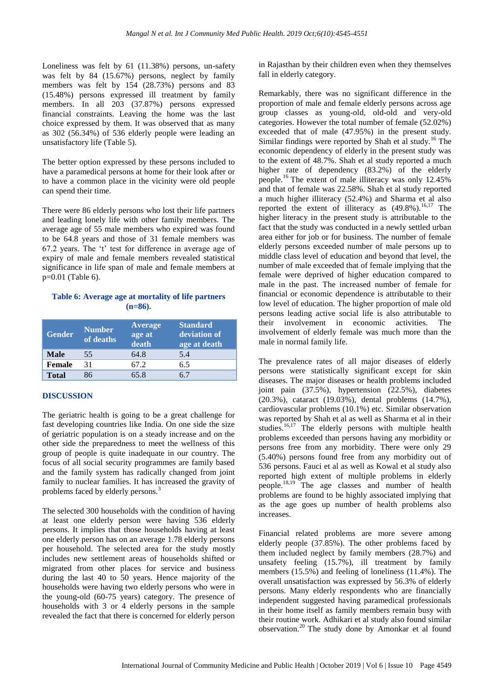Loneliness was felt by 61 (11.38%) persons, un-safety was felt by 84 (15.67%) persons, neglect by family members was felt by 154 (28.73%) persons and 83 (15.48%) persons expressed ill treatment by family members. In all 203 (37.87%) persons expressed financial constraints. Leaving the home was the last choice expressed by them. It was observed that as many as 302 (56.34%) of 536 elderly people were leading an unsatisfactory life (Table 5).

The better option expressed by these persons included to have a paramedical persons at home for their look after or to have a common place in the vicinity were old people can spend their time.

There were 86 elderly persons who lost their life partners and leading lonely life with other family members. The average age of 55 male members who expired was found to be 64.8 years and those of 31 female members was 67.2 years. The 't' test for difference in average age of expiry of male and female members revealed statistical significance in life span of male and female members at p=0.01 (Table 6).

# **Table 6: Average age at mortality of life partners (n=86).**

| <b>Gender</b> | <b>Number</b><br>of deaths | Average<br>age at<br>death | <b>Standard</b><br>deviation of<br>age at death |
|---------------|----------------------------|----------------------------|-------------------------------------------------|
| Male          | 55                         | 64.8                       | 5.4                                             |
| <b>Female</b> | 31                         | 67.2                       | 6.5                                             |
| <b>Total</b>  | 86                         | 65.8                       | 67                                              |

# **DISCUSSION**

The geriatric health is going to be a great challenge for fast developing countries like India. On one side the size of geriatric population is on a steady increase and on the other side the preparedness to meet the wellness of this group of people is quite inadequate in our country. The focus of all social security programmes are family based and the family system has radically changed from joint family to nuclear families. It has increased the gravity of problems faced by elderly persons.<sup>3</sup>

The selected 300 households with the condition of having at least one elderly person were having 536 elderly persons. It implies that those households having at least one elderly person has on an average 1.78 elderly persons per household. The selected area for the study mostly includes new settlement areas of households shifted or migrated from other places for service and business during the last 40 to 50 years. Hence majority of the households were having two elderly persons who were in the young-old (60-75 years) category. The presence of households with 3 or 4 elderly persons in the sample revealed the fact that there is concerned for elderly person

in Rajasthan by their children even when they themselves fall in elderly category.

Remarkably, there was no significant difference in the proportion of male and female elderly persons across age group classes as young-old, old-old and very-old categories. However the total number of female (52.02%) exceeded that of male (47.95%) in the present study. Similar findings were reported by Shah et al study.<sup>16</sup> The economic dependency of elderly in the present study was to the extent of 48.7%. Shah et al study reported a much higher rate of dependency (83.2%) of the elderly people.<sup>16</sup> The extent of male illiteracy was only  $12.45\%$ and that of female was 22.58%. Shah et al study reported a much higher illiteracy (52.4%) and Sharma et al also reported the extent of illiteracy as  $(49.8\%)$ .<sup>16,17</sup> The higher literacy in the present study is attributable to the fact that the study was conducted in a newly settled urban area either for job or for business. The number of female elderly persons exceeded number of male persons up to middle class level of education and beyond that level, the number of male exceeded that of female implying that the female were deprived of higher education compared to male in the past. The increased number of female for financial or economic dependence is attributable to their low level of education. The higher proportion of male old persons leading active social life is also attributable to their involvement in economic activities. The involvement of elderly female was much more than the male in normal family life.

The prevalence rates of all major diseases of elderly persons were statistically significant except for skin diseases. The major diseases or health problems included joint pain (37.5%), hypertension (22.5%), diabetes (20.3%), cataract (19.03%), dental problems (14.7%), cardiovascular problems (10.1%) etc. Similar observation was reported by Shah et al as well as Sharma et al in their studies.<sup>16,17</sup> The elderly persons with multiple health problems exceeded than persons having any morbidity or persons free from any morbidity. There were only 29 (5.40%) persons found free from any morbidity out of 536 persons. Fauci et al as well as Kowal et al study also reported high extent of multiple problems in elderly people.18,19 The age classes and number of health problems are found to be highly associated implying that as the age goes up number of health problems also increases.

Financial related problems are more severe among elderly people (37.85%). The other problems faced by them included neglect by family members (28.7%) and unsafety feeling (15.7%), ill treatment by family members (15.5%) and feeling of loneliness (11.4%). The overall unsatisfaction was expressed by 56.3% of elderly persons. Many elderly respondents who are financially independent suggested having paramedical professionals in their home itself as family members remain busy with their routine work. Adhikari et al study also found similar observation.<sup>20</sup> The study done by Amonkar et al found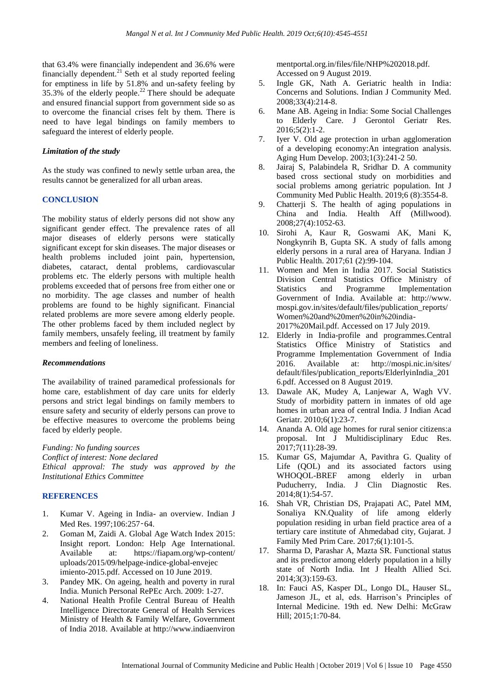that 63.4% were financially independent and 36.6% were financially dependent.<sup>21</sup> Seth et al study reported feeling for emptiness in life by 51.8% and un-safety feeling by 35.3% of the elderly people.<sup>22</sup> There should be adequate and ensured financial support from government side so as to overcome the financial crises felt by them. There is need to have legal bindings on family members to safeguard the interest of elderly people.

#### *Limitation of the study*

As the study was confined to newly settle urban area, the results cannot be generalized for all urban areas.

#### **CONCLUSION**

The mobility status of elderly persons did not show any significant gender effect. The prevalence rates of all major diseases of elderly persons were statically significant except for skin diseases. The major diseases or health problems included joint pain, hypertension, diabetes, cataract, dental problems, cardiovascular problems etc. The elderly persons with multiple health problems exceeded that of persons free from either one or no morbidity. The age classes and number of health problems are found to be highly significant. Financial related problems are more severe among elderly people. The other problems faced by them included neglect by family members, unsafely feeling, ill treatment by family members and feeling of loneliness.

#### *Recommendations*

The availability of trained paramedical professionals for home care, establishment of day care units for elderly persons and strict legal bindings on family members to ensure safety and security of elderly persons can prove to be effective measures to overcome the problems being faced by elderly people.

*Funding: No funding sources*

*Conflict of interest: None declared Ethical approval: The study was approved by the Institutional Ethics Committee*

### **REFERENCES**

- 1. Kumar V. Ageing in India- an overview. Indian J Med Res. 1997;106:257-64.
- 2. Goman M, Zaidi A. Global Age Watch Index 2015: Insight report. London: Help Age International. Available at: https://fiapam.org/wp-content/ uploads/2015/09/helpage-indice-global-envejec imiento-2015.pdf. Accessed on 10 June 2019.
- 3. Pandey MK. On ageing, health and poverty in rural India. Munich Personal RePEc Arch. 2009: 1-27.
- 4. National Health Profile Central Bureau of Health Intelligence Directorate General of Health Services Ministry of Health & Family Welfare, Government of India 2018. Available at http://www.indiaenviron

mentportal.org.in/files/file/NHP%202018.pdf. Accessed on 9 August 2019.

- 5. Ingle GK, Nath A. Geriatric health in India: Concerns and Solutions. Indian J Community Med. 2008;33(4):214-8.
- 6. Mane AB. Ageing in India: Some Social Challenges to Elderly Care. J Gerontol Geriatr Res. 2016;5(2):1-2.
- 7. Iyer V. Old age protection in urban agglomeration of a developing economy:An integration analysis. Aging Hum Develop. 2003;1(3):241-2 50.
- 8. Jairaj S, Palabindela R, Sridhar D. A community based cross sectional study on morbidities and social problems among geriatric population. Int J Community Med Public Health. 2019;6 (8):3554-8.
- 9. Chatterji S. The health of aging populations in China and India. Health Aff (Millwood). 2008;27(4):1052-63.
- 10. Sirohi A, Kaur R, Goswami AK, Mani K, Nongkynrih B, Gupta SK. A study of falls among elderly persons in a rural area of Haryana. Indian J Public Health. 2017;61 (2):99-104.
- 11. Women and Men in India 2017. Social Statistics Division Central Statistics Office Ministry of Statistics and Programme Implementation Government of India. Available at: http://www. mospi.gov.in/sites/default/files/publication\_reports/ Women%20and%20men%20in%20india-2017%20Mail.pdf. Accessed on 17 July 2019.
- 12. Elderly in India-profile and programmes.Central Statistics Office Ministry of Statistics and Programme Implementation Government of India 2016. Available at: http://mospi.nic.in/sites/ default/files/publication\_reports/ElderlyinIndia\_201 6.pdf. Accessed on 8 August 2019.
- 13. Dawale AK, Mudey A, Lanjewar A, Wagh VV. Study of morbidity pattern in inmates of old age homes in urban area of central India. J Indian Acad Geriatr. 2010;6(1):23-7.
- 14. Ananda A. Old age homes for rural senior citizens:a proposal. Int J Multidisciplinary Educ Res. 2017;7(11):28-39.
- 15. Kumar GS, Majumdar A, Pavithra G. Quality of Life (QOL) and its associated factors using WHOQOL-BREF among elderly in urban Puducherry, India. J Clin Diagnostic Res. 2014;8(1):54-57.
- 16. Shah VR, Christian DS, Prajapati AC, Patel MM, Sonaliya KN.Quality of life among elderly population residing in urban field practice area of a tertiary care institute of Ahmedabad city, Gujarat. J Family Med Prim Care. 2017;6(1):101-5.
- 17. Sharma D, Parashar A, Mazta SR. Functional status and its predictor among elderly population in a hilly state of North India. Int J Health Allied Sci. 2014;3(3):159-63.
- 18. In: Fauci AS, Kasper DL, Longo DL, Hauser SL, Jameson JL, et al, eds. Harrison's Principles of Internal Medicine. 19th ed. New Delhi: McGraw Hill; 2015;1:70-84.